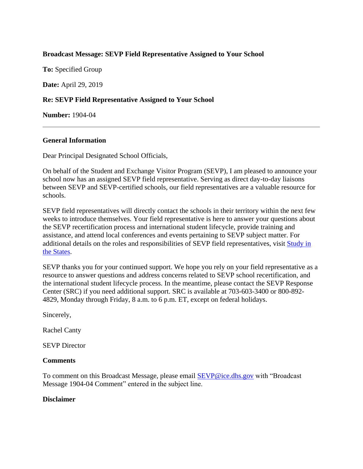# **Broadcast Message: SEVP Field Representative Assigned to Your School**

**To:** Specified Group

**Date:** April 29, 2019

# **Re: SEVP Field Representative Assigned to Your School**

**Number:** 1904-04

# **General Information**

Dear Principal Designated School Officials,

On behalf of the Student and Exchange Visitor Program (SEVP), I am pleased to announce your school now has an assigned SEVP field representative. Serving as direct day-to-day liaisons between SEVP and SEVP-certified schools, our field representatives are a valuable resource for schools.

SEVP field representatives will directly contact the schools in their territory within the next few weeks to introduce themselves. Your field representative is here to answer your questions about the SEVP recertification process and international student lifecycle, provide training and assistance, and attend local conferences and events pertaining to SEVP subject matter. For additional details on the roles and responsibilities of SEVP field representatives, visit [Study in](https://studyinthestates.dhs.gov/sevp-field-representatives)  [the States.](https://studyinthestates.dhs.gov/sevp-field-representatives)

SEVP thanks you for your continued support. We hope you rely on your field representative as a resource to answer questions and address concerns related to SEVP school recertification, and the international student lifecycle process. In the meantime, please contact the SEVP Response Center (SRC) if you need additional support. SRC is available at 703-603-3400 or 800-892- 4829, Monday through Friday, 8 a.m. to 6 p.m. ET, except on federal holidays.

Sincerely,

Rachel Canty

SEVP Director

## **Comments**

To comment on this Broadcast Message, please email [SEVP@ice.dhs.gov](mailto:SEVP@ice.dhs.gov) with "Broadcast Message 1904-04 Comment" entered in the subject line.

## **Disclaimer**